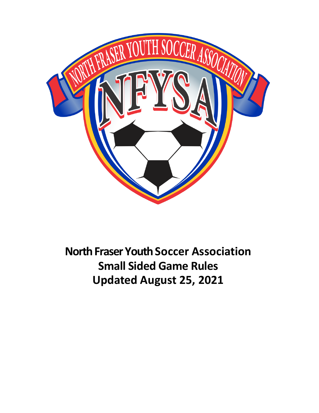

**North Fraser Youth Soccer Association Small Sided Game Rules Updated August 25, 2021**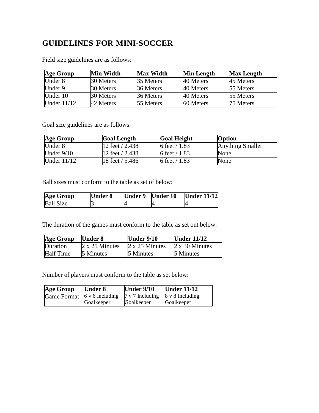# **GUIDELINES FOR MINI-SOCCER**

| <b>Age Group</b> | Min Width | <b>Max Width</b> | <b>Min Length</b> | <b>Max Length</b> |
|------------------|-----------|------------------|-------------------|-------------------|
| Under 8          | 30 Meters | 35 Meters        | 40 Meters         | 45 Meters         |
| Under $9$        | 30 Meters | 36 Meters        | 40 Meters         | 55 Meters         |
| Under 10         | 30 Meters | 36 Meters        | 40 Meters         | 55 Meters         |
| Under $11/12$    | 42 Meters | 55 Meters        | 60 Meters         | 75 Meters         |

Field size guidelines are as follows:

Goal size guidelines are as follows:

| Age Group     | <b>Goal Length</b> | <b>Goal Height</b> | <b>Option</b>           |
|---------------|--------------------|--------------------|-------------------------|
| Under 8       | 12 feet $/ 2.438$  | 6 feet $/ 1.83$    | <b>Anything Smaller</b> |
| Under $9/10$  | 12 feet $/ 2.438$  | 6 feet $/ 1.83$    | <b>None</b>             |
| Under $11/12$ | 18 feet / 5.486    | 6 feet $/ 1.83$    | None                    |

Ball sizes must conform to the table as set of below:

| Age Group        | <b>Under 8</b> | Under 9 Under 10 | <b>Under 11/12</b> |
|------------------|----------------|------------------|--------------------|
| <b>Ball Size</b> |                |                  |                    |

The duration of the games must conform to the table as set out below:

| <b>Age Group</b> | <b>Under 8</b> | Under $9/10$          | <b>Under 11/12</b>    |
|------------------|----------------|-----------------------|-----------------------|
| Duration         | 2 x 25 Minutes | $2 \times 25$ Minutes | $2 \times 30$ Minutes |
| <b>Half Time</b> | 5 Minutes      | 5 Minutes             | 5 Minutes             |

Number of players must conform to the table as set below:

| <b>Age Group</b> | <b>Under 8</b>         | Under $9/10$              | <b>Under 11/12</b> |
|------------------|------------------------|---------------------------|--------------------|
| Game Format      | $6 \times 6$ Including | $7 \text{ v}$ 7 Including | 8 v 8 Including    |
|                  | Goalkeeper             | Goalkeeper                | Goalkeeper         |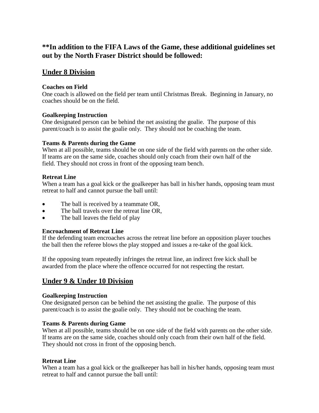# **\*\*In addition to the FIFA Laws of the Game, these additional guidelines set out by the North Fraser District should be followed:**

# **Under 8 Division**

# **Coaches on Field**

One coach is allowed on the field per team until Christmas Break. Beginning in January, no coaches should be on the field.

# **Goalkeeping Instruction**

One designated person can be behind the net assisting the goalie. The purpose of this parent/coach is to assist the goalie only. They should not be coaching the team.

# **Teams & Parents during the Game**

When at all possible, teams should be on one side of the field with parents on the other side. If teams are on the same side, coaches should only coach from their own half of the field. They should not cross in front of the opposing team bench.

# **Retreat Line**

When a team has a goal kick or the goalkeeper has ball in his/her hands, opposing team must retreat to half and cannot pursue the ball until:

- The ball is received by a teammate OR,
- The ball travels over the retreat line OR,
- The ball leaves the field of play

# **Encroachment of Retreat Line**

If the defending team encroaches across the retreat line before an opposition player touches the ball then the referee blows the play stopped and issues a re-take of the goal kick.

If the opposing team repeatedly infringes the retreat line, an indirect free kick shall be awarded from the place where the offence occurred for not respecting the restart.

# **Under 9 & Under 10 Division**

#### **Goalkeeping Instruction**

One designated person can be behind the net assisting the goalie. The purpose of this parent/coach is to assist the goalie only. They should not be coaching the team.

#### **Teams & Parents during Game**

When at all possible, teams should be on one side of the field with parents on the other side. If teams are on the same side, coaches should only coach from their own half of the field. They should not cross in front of the opposing bench.

#### **Retreat Line**

When a team has a goal kick or the goalkeeper has ball in his/her hands, opposing team must retreat to half and cannot pursue the ball until: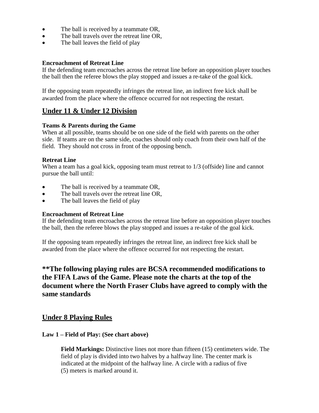- The ball is received by a teammate OR,
- The ball travels over the retreat line OR,
- The ball leaves the field of play

### **Encroachment of Retreat Line**

If the defending team encroaches across the retreat line before an opposition player touches the ball then the referee blows the play stopped and issues a re-take of the goal kick.

If the opposing team repeatedly infringes the retreat line, an indirect free kick shall be awarded from the place where the offence occurred for not respecting the restart.

# **Under 11 & Under 12 Division**

#### **Teams & Parents during the Game**

When at all possible, teams should be on one side of the field with parents on the other side. If teams are on the same side, coaches should only coach from their own half of the field. They should not cross in front of the opposing bench.

# **Retreat Line**

When a team has a goal kick, opposing team must retreat to 1/3 (offside) line and cannot pursue the ball until:

- The ball is received by a teammate OR.
- The ball travels over the retreat line OR,
- The ball leaves the field of play

#### **Encroachment of Retreat Line**

If the defending team encroaches across the retreat line before an opposition player touches the ball, then the referee blows the play stopped and issues a re-take of the goal kick.

If the opposing team repeatedly infringes the retreat line, an indirect free kick shall be awarded from the place where the offence occurred for not respecting the restart.

# **\*\*The following playing rules are BCSA recommended modifications to the FIFA Laws of the Game. Please note the charts at the top of the document where the North Fraser Clubs have agreed to comply with the same standards**

# **Under 8 Playing Rules**

#### **Law 1 – Field of Play: (See chart above)**

**Field Markings:** Distinctive lines not more than fifteen (15) centimeters wide. The field of play is divided into two halves by a halfway line. The center mark is indicated at the midpoint of the halfway line. A circle with a radius of five (5) meters is marked around it.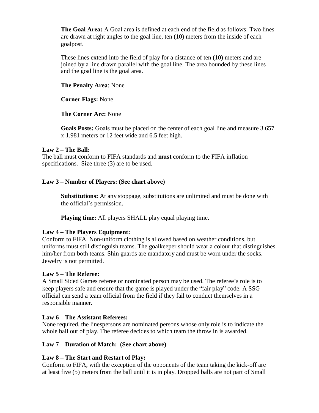**The Goal Area:** A Goal area is defined at each end of the field as follows: Two lines are drawn at right angles to the goal line, ten (10) meters from the inside of each goalpost.

These lines extend into the field of play for a distance of ten (10) meters and are joined by a line drawn parallel with the goal line. The area bounded by these lines and the goal line is the goal area.

# **The Penalty Area**: None

**Corner Flags:** None

# **The Corner Arc:** None

**Goals Posts:** Goals must be placed on the center of each goal line and measure 3.657 x 1.981 meters or 12 feet wide and 6.5 feet high.

# **Law 2 – The Ball:**

The ball must conform to FIFA standards and **must** conform to the FIFA inflation specifications. Size three (3) are to be used.

# **Law 3 – Number of Players: (See chart above)**

**Substitutions:** At any stoppage, substitutions are unlimited and must be done with the official's permission.

**Playing time:** All players SHALL play equal playing time.

#### **Law 4 – The Players Equipment:**

Conform to FIFA. Non-uniform clothing is allowed based on weather conditions, but uniforms must still distinguish teams. The goalkeeper should wear a colour that distinguishes him/her from both teams. Shin guards are mandatory and must be worn under the socks. Jewelry is not permitted.

#### **Law 5 – The Referee:**

A Small Sided Games referee or nominated person may be used. The referee's role is to keep players safe and ensure that the game is played under the "fair play" code. A SSG official can send a team official from the field if they fail to conduct themselves in a responsible manner.

# **Law 6 – The Assistant Referees:**

None required, the linespersons are nominated persons whose only role is to indicate the whole ball out of play. The referee decides to which team the throw in is awarded.

#### **Law 7 – Duration of Match: (See chart above)**

# **Law 8 – The Start and Restart of Play:**

Conform to FIFA, with the exception of the opponents of the team taking the kick-off are at least five (5) meters from the ball until it is in play. Dropped balls are not part of Small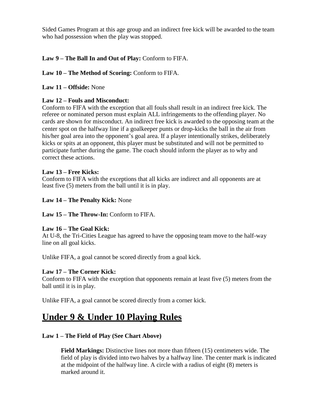Sided Games Program at this age group and an indirect free kick will be awarded to the team who had possession when the play was stopped.

# **Law 9 – The Ball In and Out of Play:** Conform to FIFA.

# **Law 10 – The Method of Scoring:** Conform to FIFA.

# **Law 11 – Offside:** None

# **Law 12 – Fouls and Misconduct:**

Conform to FIFA with the exception that all fouls shall result in an indirect free kick. The referee or nominated person must explain ALL infringements to the offending player. No cards are shown for misconduct. An indirect free kick is awarded to the opposing team at the center spot on the halfway line if a goalkeeper punts or drop-kicks the ball in the air from his/her goal area into the opponent's goal area. If a player intentionally strikes, deliberately kicks or spits at an opponent, this player must be substituted and will not be permitted to participate further during the game. The coach should inform the player as to why and correct these actions.

#### **Law 13 – Free Kicks:**

Conform to FIFA with the exceptions that all kicks are indirect and all opponents are at least five (5) meters from the ball until it is in play.

#### **Law 14 – The Penalty Kick:** None

#### **Law 15 – The Throw-In:** Conform to FIFA.

#### **Law 16 – The Goal Kick:**

At U-8, the Tri-Cities League has agreed to have the opposing team move to the half-way line on all goal kicks.

Unlike FIFA, a goal cannot be scored directly from a goal kick.

# **Law 17 – The Corner Kick:**

Conform to FIFA with the exception that opponents remain at least five (5) meters from the ball until it is in play.

Unlike FIFA, a goal cannot be scored directly from a corner kick.

# **Under 9 & Under 10 Playing Rules**

# **Law 1 – The Field of Play (See Chart Above)**

**Field Markings:** Distinctive lines not more than fifteen (15) centimeters wide. The field of play is divided into two halves by a halfway line. The center mark is indicated at the midpoint of the halfway line. A circle with a radius of eight (8) meters is marked around it.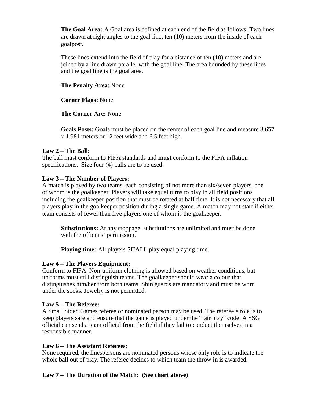**The Goal Area:** A Goal area is defined at each end of the field as follows: Two lines are drawn at right angles to the goal line, ten (10) meters from the inside of each goalpost.

These lines extend into the field of play for a distance of ten (10) meters and are joined by a line drawn parallel with the goal line. The area bounded by these lines and the goal line is the goal area.

# **The Penalty Area**: None

**Corner Flags:** None

**The Corner Arc:** None

**Goals Posts:** Goals must be placed on the center of each goal line and measure 3.657 x 1.981 meters or 12 feet wide and 6.5 feet high.

#### **Law 2 – The Ball**:

The ball must conform to FIFA standards and **must** conform to the FIFA inflation specifications. Size four (4) balls are to be used.

# **Law 3 – The Number of Players:**

A match is played by two teams, each consisting of not more than six/seven players, one of whom is the goalkeeper. Players will take equal turns to play in all field positions including the goalkeeper position that must be rotated at half time. It is not necessary that all players play in the goalkeeper position during a single game. A match may not start if either team consists of fewer than five players one of whom is the goalkeeper.

**Substitutions:** At any stoppage, substitutions are unlimited and must be done with the officials' permission.

**Playing time:** All players SHALL play equal playing time.

#### **Law 4 – The Players Equipment:**

Conform to FIFA. Non-uniform clothing is allowed based on weather conditions, but uniforms must still distinguish teams. The goalkeeper should wear a colour that distinguishes him/her from both teams. Shin guards are mandatory and must be worn under the socks. Jewelry is not permitted.

#### **Law 5 – The Referee:**

A Small Sided Games referee or nominated person may be used. The referee's role is to keep players safe and ensure that the game is played under the "fair play" code. A SSG official can send a team official from the field if they fail to conduct themselves in a responsible manner.

#### **Law 6 – The Assistant Referees:**

None required, the linespersons are nominated persons whose only role is to indicate the whole ball out of play. The referee decides to which team the throw in is awarded.

# **Law 7 – The Duration of the Match: (See chart above)**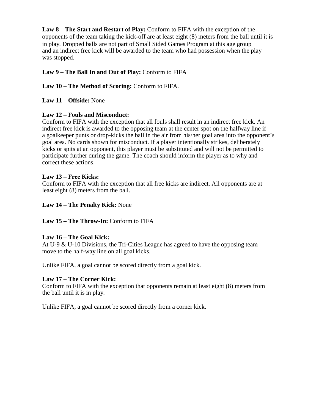**Law 8 – The Start and Restart of Play:** Conform to FIFA with the exception of the opponents of the team taking the kick-off are at least eight (8) meters from the ball until it is in play. Dropped balls are not part of Small Sided Games Program at this age group and an indirect free kick will be awarded to the team who had possession when the play was stopped.

# **Law 9 – The Ball In and Out of Play:** Conform to FIFA

# **Law 10 – The Method of Scoring:** Conform to FIFA.

### **Law 11 – Offside:** None

# **Law 12 – Fouls and Misconduct:**

Conform to FIFA with the exception that all fouls shall result in an indirect free kick. An indirect free kick is awarded to the opposing team at the center spot on the halfway line if a goalkeeper punts or drop-kicks the ball in the air from his/her goal area into the opponent's goal area. No cards shown for misconduct. If a player intentionally strikes, deliberately kicks or spits at an opponent, this player must be substituted and will not be permitted to participate further during the game. The coach should inform the player as to why and correct these actions.

# **Law 13 – Free Kicks:**

Conform to FIFA with the exception that all free kicks are indirect. All opponents are at least eight (8) meters from the ball.

### **Law 14 – The Penalty Kick:** None

#### **Law 15 – The Throw-In:** Conform to FIFA

#### **Law 16 – The Goal Kick:**

At U-9 & U-10 Divisions, the Tri-Cities League has agreed to have the opposing team move to the half-way line on all goal kicks.

Unlike FIFA, a goal cannot be scored directly from a goal kick.

#### **Law 17 – The Corner Kick:**

Conform to FIFA with the exception that opponents remain at least eight (8) meters from the ball until it is in play.

Unlike FIFA, a goal cannot be scored directly from a corner kick.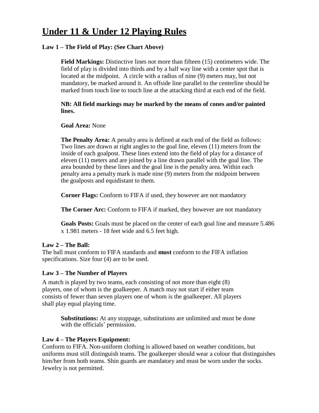# **Under 11 & Under 12 Playing Rules**

# **Law 1 – The Field of Play: (See Chart Above)**

**Field Markings:** Distinctive lines not more than fifteen (15) centimeters wide. The field of play is divided into thirds and by a half way line with a center spot that is located at the midpoint. A circle with a radius of nine (9) meters may, but not mandatory, be marked around it. An offside line parallel to the centerline should be marked from touch line to touch line at the attacking third at each end of the field.

#### **NB: All field markings may be marked by the means of cones and/or painted lines.**

**Goal Area:** None

**The Penalty Area:** A penalty area is defined at each end of the field as follows: Two lines are drawn at right angles to the goal line, eleven (11) meters from the inside of each goalpost. These lines extend into the field of play for a distance of eleven (11) meters and are joined by a line drawn parallel with the goal line. The area bounded by these lines and the goal line is the penalty area. Within each penalty area a penalty mark is made nine (9) meters from the midpoint between the goalposts and equidistant to them.

**Corner Flags:** Conform to FIFA if used, they however are not mandatory

**The Corner Arc:** Conform to FIFA if marked, they however are not mandatory

**Goals Posts:** Goals must be placed on the center of each goal line and measure 5.486 x 1.981 meters - 18 feet wide and 6.5 feet high.

#### **Law 2 – The Ball:**

The ball must conform to FIFA standards and **must** conform to the FIFA inflation specifications. Size four (4) are to be used.

# **Law 3 – The Number of Players**

A match is played by two teams, each consisting of not more than eight (8) players, one of whom is the goalkeeper. A match may not start if either team consists of fewer than seven players one of whom is the goalkeeper. All players shall play equal playing time.

**Substitutions:** At any stoppage, substitutions are unlimited and must be done with the officials' permission.

#### **Law 4 – The Players Equipment:**

Conform to FIFA. Non-uniform clothing is allowed based on weather conditions, but uniforms must still distinguish teams. The goalkeeper should wear a colour that distinguishes him/her from both teams. Shin guards are mandatory and must be worn under the socks. Jewelry is not permitted.